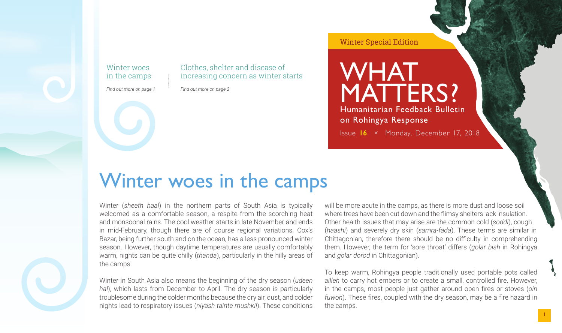Winter woes in the camps

*Find out more on page 1*

Clothes, shelter and disease of increasing concern as winter starts

*Find out more on page 2*

#### Winter Special Edition

# WHAT MATTERS?

Humanitarian Feedback Bulletin on Rohingya Response

Issue **16** × Monday, December 17, 2018

### Winter woes in the camps

Winter (*sheeth haal*) in the northern parts of South Asia is typically welcomed as a comfortable season, a respite from the scorching heat and monsoonal rains. The cool weather starts in late November and ends in mid-February, though there are of course regional variations. Cox's Bazar, being further south and on the ocean, has a less pronounced winter season. However, though daytime temperatures are usually comfortably warm, nights can be quite chilly (*thanda*), particularly in the hilly areas of the camps.

Winter in South Asia also means the beginning of the dry season (*udeen hal*), which lasts from December to April. The dry season is particularly troublesome during the colder months because the dry air, dust, and colder nights lead to respiratory issues (*niyash tainte mushkil*). These conditions

will be more acute in the camps, as there is more dust and loose soil where trees have been cut down and the flimsy shelters lack insulation. Other health issues that may arise are the common cold (*soddi*), cough (*haashi*) and severely dry skin (*samra-fada*). These terms are similar in Chittagonian, therefore there should be no difficulty in comprehending them. However, the term for 'sore throat' differs (*golar bish* in Rohingya and *golar dorod* in Chittagonian).

To keep warm, Rohingya people traditionally used portable pots called *ailleh* to carry hot embers or to create a small, controlled fire. However, in the camps, most people just gather around open fires or stoves (*oin fuwon*). These fires, coupled with the dry season, may be a fire hazard in the camps.

1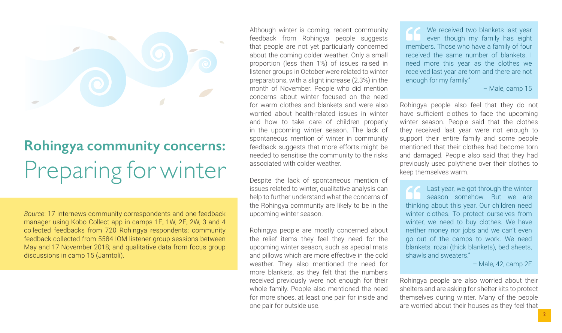

## **Rohingya community concerns:** Preparing for winter

*Source*: 17 Internews community correspondents and one feedback manager using Kobo Collect app in camps 1E, 1W, 2E, 2W, 3 and 4 collected feedbacks from 720 Rohingya respondents; community feedback collected from 5584 IOM listener group sessions between May and 17 November 2018; and qualitative data from focus group discussions in camp 15 (Jamtoli).

Although winter is coming, recent community feedback from Rohingya people suggests that people are not yet particularly concerned about the coming colder weather. Only a small proportion (less than 1%) of issues raised in listener groups in October were related to winter preparations, with a slight increase (2.3%) in the month of November. People who did mention concerns about winter focused on the need for warm clothes and blankets and were also worried about health-related issues in winter and how to take care of children properly in the upcoming winter season. The lack of spontaneous mention of winter in community feedback suggests that more efforts might be needed to sensitise the community to the risks associated with colder weather.

Despite the lack of spontaneous mention of issues related to winter, qualitative analysis can help to further understand what the concerns of the Rohingya community are likely to be in the upcoming winter season.

Rohingya people are mostly concerned about the relief items they feel they need for the upcoming winter season, such as special mats and pillows which are more effective in the cold weather. They also mentioned the need for more blankets, as they felt that the numbers received previously were not enough for their whole family. People also mentioned the need for more shoes, at least one pair for inside and one pair for outside use.

We received two blankets last year even though my family has eight members. Those who have a family of four received the same number of blankets. I need more this year as the clothes we received last year are torn and there are not enough for my family."

– Male, camp 15

Rohingya people also feel that they do not have sufficient clothes to face the upcoming winter season. People said that the clothes they received last year were not enough to support their entire family and some people mentioned that their clothes had become torn and damaged. People also said that they had previously used polythene over their clothes to keep themselves warm.

Last year, we got through the winter season somehow. But we are thinking about this year. Our children need winter clothes. To protect ourselves from winter, we need to buy clothes. We have neither money nor jobs and we can't even go out of the camps to work. We need blankets, rozai (thick blankets), bed sheets, shawls and sweaters."

– Male, 42, camp 2E

Rohingya people are also worried about their shelters and are asking for shelter kits to protect themselves during winter. Many of the people are worried about their houses as they feel that